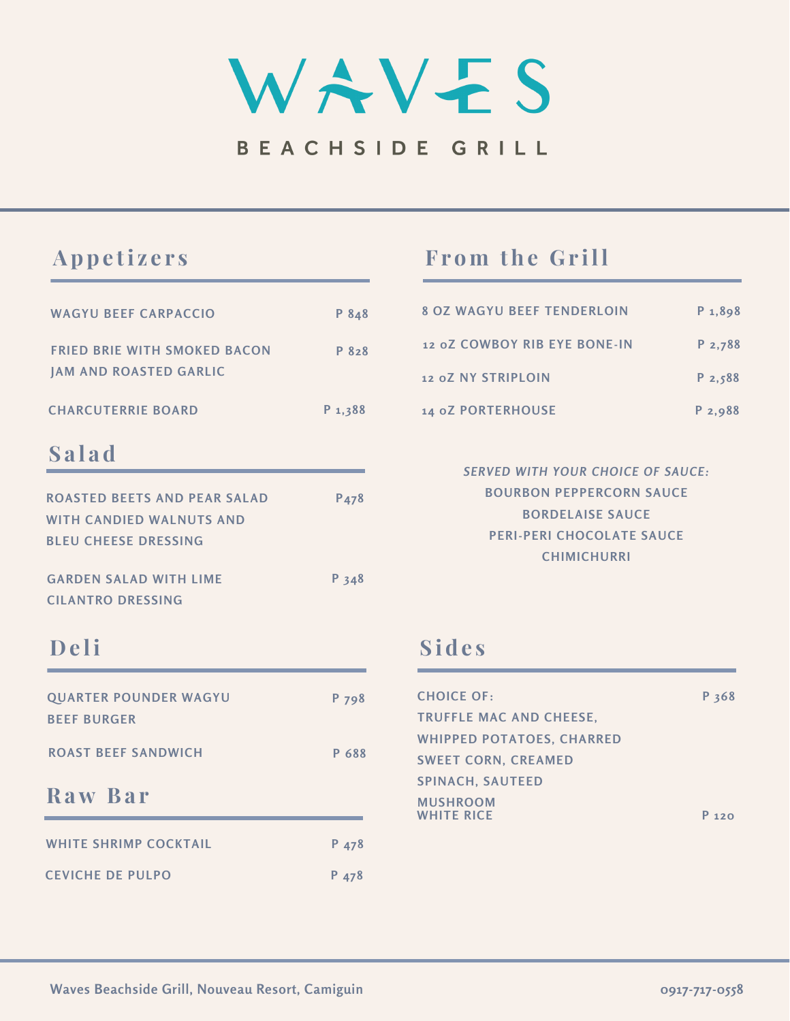## WAVES

#### BEACHSIDE GRILL

#### **Appe ti z e r s**

| <b>WAGYU BEEF CARPACCIO</b>                                                                    | P 848             |
|------------------------------------------------------------------------------------------------|-------------------|
| <b>FRIED BRIE WITH SMOKED BACON</b><br><b>JAM AND ROASTED GARLIC</b>                           | P 828             |
| <b>CHARCUTERRIE BOARD</b>                                                                      | P 1,388           |
| Salad                                                                                          |                   |
| <b>ROASTED BEETS AND PEAR SALAD</b><br>WITH CANDIED WALNUTS AND<br><b>BLEU CHEESE DRESSING</b> | P <sub>47</sub> 8 |
| <b>GARDEN SALAD WITH LIME</b><br><b>CILANTRO DRESSING</b>                                      | P 348             |

## **De li**

| <b>QUARTER POUNDER WAGYU</b><br><b>BEEF BURGER</b> | P 798 |
|----------------------------------------------------|-------|
| <b>ROAST BEEF SANDWICH</b>                         | P 688 |
| Raw Bar                                            |       |
| <b>WHITE SHRIMP COCKTAIL</b>                       | P 478 |
| <b>CEVICHE DE PULPO</b>                            |       |

### **F r om the G r ill**

| <b>8 OZ WAGYU BEEF TENDERLOIN</b> | $P_1, 898$  |
|-----------------------------------|-------------|
| 12 oZ COWBOY RIB EYE BONE-IN      | $P_{2,788}$ |
| 12 oZ NY STRIPLOIN                | $P_2, 588$  |
| <b>14 oZ PORTERHOUSE</b>          | $P_{2,988}$ |

*SERVED WITH YOUR CHOICE OF SAUCE:* **BOURBON PEPPERCORN SAUCE BORDELAISE SAUCE PERI-PERI CHOCOLATE SAUCE CHIMICHURRI**

#### **S i d e s**

| <b>CHOICE OF:</b>                    | P 368     |
|--------------------------------------|-----------|
| <b>TRUFFLE MAC AND CHEESE,</b>       |           |
| <b>WHIPPED POTATOES, CHARRED</b>     |           |
| <b>SWEET CORN, CREAMED</b>           |           |
| <b>SPINACH, SAUTEED</b>              |           |
| <b>MUSHROOM</b><br><b>WHITE RICE</b> | $P_{120}$ |